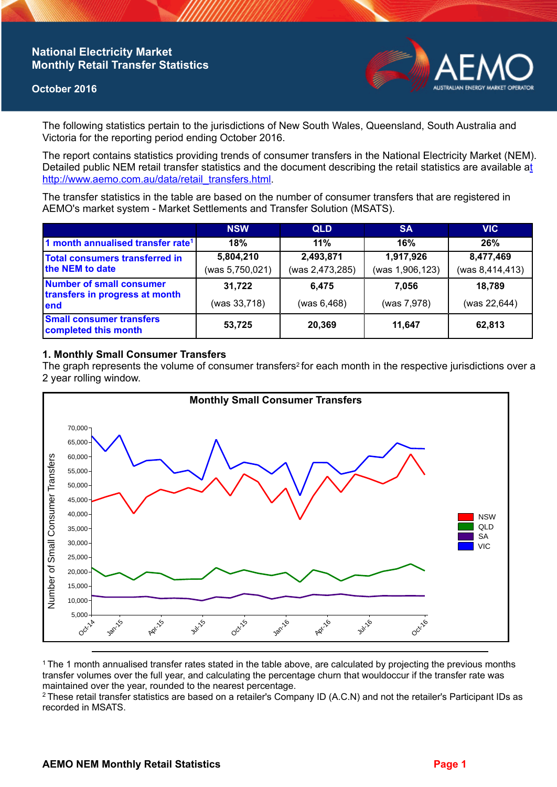## **National Electricity Market Monthly Retail Transfer Statistics**

#### **October 2016**



The following statistics pertain to the jurisdictions of New South Wales, Queensland, South Australia and Victoria for the reporting period ending October 2016.

The report contains statistics providing trends of consumer transfers in the National Electricity Market (NEM). Detailed public NEM retail transfer statistics and the document describing the retail statistics are available a[t](http://www.aemo.com.au/data/retail_transfers.html)  http://www.aemo.com.au/data/retail\_transfers.html

The transfer statistics in the table are based on the number of consumer transfers that are registered in AEMO's market system - Market Settlements and Transfer Solution (MSATS).

|                                                                    | <b>NSW</b>                   | <b>QLD</b>                   | <b>SA</b>                    | <b>VIC</b>                   |
|--------------------------------------------------------------------|------------------------------|------------------------------|------------------------------|------------------------------|
| 1 month annualised transfer rate <sup>1</sup>                      | 18%                          | 11%                          | 16%                          | 26%                          |
| Total consumers transferred in<br>the NEM to date                  | 5,804,210<br>(was 5,750,021) | 2,493,871<br>(was 2,473,285) | 1,917,926<br>(was 1,906,123) | 8,477,469<br>(was 8,414,413) |
| Number of small consumer<br>transfers in progress at month<br>lend | 31,722<br>(was 33,718)       | 6,475<br>(was 6,468)         | 7.056<br>(was 7,978)         | 18,789<br>(was $22,644$ )    |
| <b>Small consumer transfers</b><br>completed this month            | 53,725                       | 20,369                       | 11.647                       | 62,813                       |

### **1. Monthly Small Consumer Transfers**

The graph represents the volume of consumer transfers<sup>2</sup> for each month in the respective jurisdictions over a 2 year rolling window.



<sup>1</sup>The 1 month annualised transfer rates stated in the table above, are calculated by projecting the previous months transfer volumes over the full year, and calculating the percentage churn that wouldoccur if the transfer rate was maintained over the year, rounded to the nearest percentage.

<sup>2</sup> These retail transfer statistics are based on a retailer's Company ID (A.C.N) and not the retailer's Participant IDs as recorded in MSATS.